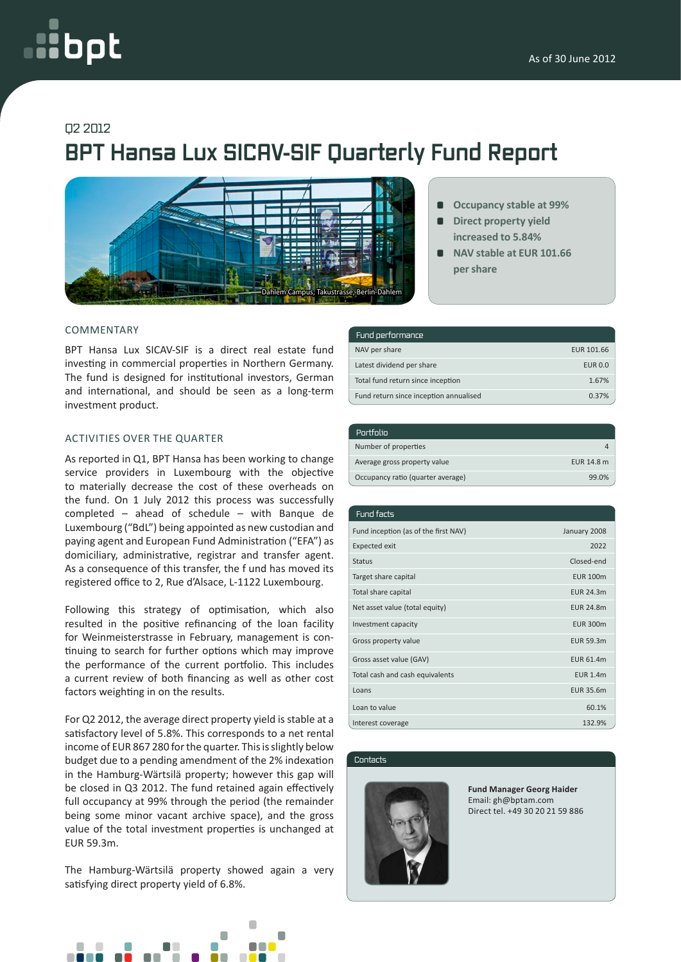# oot

### Q2 2012

## **BPT Hansa Lux SICAV-SIF Quarterly Fund Report**



#### COMMENTARY

BPT Hansa Lux SICAV-SIF is a direct real estate fund investing in commercial properties in Northern Germany. The fund is designed for institutional investors, German and international, and should be seen as a long-term investment product.

#### ACTIVITIES OVER THE QUARTER

As reported in Q1, BPT Hansa has been working to change service providers in Luxembourg with the objective to materially decrease the cost of these overheads on the fund. On 1 July 2012 this process was successfully completed – ahead of schedule – with Banque de Luxembourg ("BdL") being appointed as new custodian and paying agent and European Fund Administration ("EFA") as domiciliary, administrative, registrar and transfer agent. As a consequence of this transfer, the f und has moved its registered office to 2, Rue d'Alsace, L-1122 Luxembourg.

Following this strategy of optimisation, which also resulted in the positive refinancing of the loan facility for Weinmeisterstrasse in February, management is continuing to search for further options which may improve the performance of the current portfolio. This includes a current review of both financing as well as other cost factors weighting in on the results.

For Q2 2012, the average direct property yield is stable at a satisfactory level of 5.8%. This corresponds to a net rental income of EUR 867 280 for the quarter. This is slightly below budget due to a pending amendment of the 2% indexation in the Hamburg-Wärtsilä property; however this gap will be closed in Q3 2012. The fund retained again effectively full occupancy at 99% through the period (the remainder being some minor vacant archive space), and the gross value of the total investment properties is unchanged at EUR 59.3m.

The Hamburg-Wärtsilä property showed again a very satisfying direct property yield of 6.8%.



| Fund performance                       |                |
|----------------------------------------|----------------|
| NAV per share                          | EUR 101.66     |
| Latest dividend per share              | <b>EUR 0.0</b> |
| Total fund return since inception      | 1.67%          |
| Fund return since inception annualised | 0.37%          |

**per share**

**Occupancy stable at 99% Direct property yield increased to 5.84% NAV stable at EUR 101.66**

| Portfolio                         |            |
|-----------------------------------|------------|
| Number of properties              |            |
| Average gross property value      | EUR 14.8 m |
| Occupancy ratio (quarter average) | 99.0%      |

| Fund facts                           |                  |
|--------------------------------------|------------------|
| Fund inception (as of the first NAV) | January 2008     |
| <b>Expected exit</b>                 | 2022             |
| <b>Status</b>                        | Closed-end       |
| Target share capital                 | <b>EUR 100m</b>  |
| Total share capital                  | <b>EUR 24.3m</b> |
| Net asset value (total equity)       | <b>EUR 24.8m</b> |
| Investment capacity                  | <b>EUR 300m</b>  |
| Gross property value                 | EUR 59.3m        |
| Gross asset value (GAV)              | <b>EUR 61.4m</b> |
| Total cash and cash equivalents      | <b>EUR 1.4m</b>  |
| Loans                                | EUR 35.6m        |
| Loan to value                        | 60.1%            |
| Interest coverage                    | 132.9%           |

Contacts



**Fund Manager Georg Haider** Email: gh@bptam.com Direct tel. +49 30 20 21 59 886